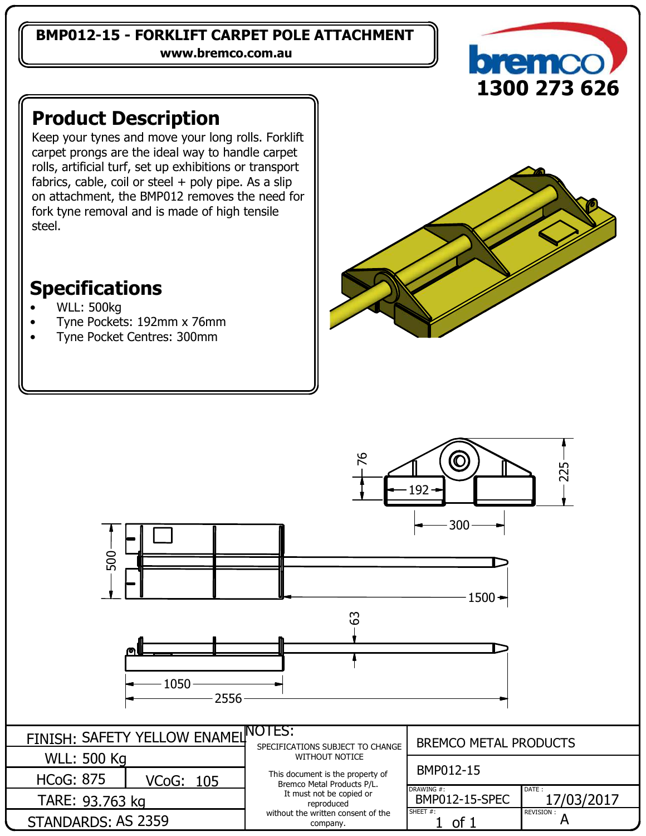### **BMP012-15 - FORKLIFT CARPET POLE ATTACHMENT**

**www.bremco.com.au**



## **Product Description**

Keep your tynes and move your long rolls. Forklift carpet prongs are the ideal way to handle carpet rolls, artificial turf, set up exhibitions or transport fabrics, cable, coil or steel  $+$  poly pipe. As a slip on attachment, the BMP012 removes the need for fork tyne removal and is made of high tensile steel.

# **Specifications**

- WLL: 500kg
- Tyne Pockets: 192mm x 76mm
- Tyne Pocket Centres: 300mm

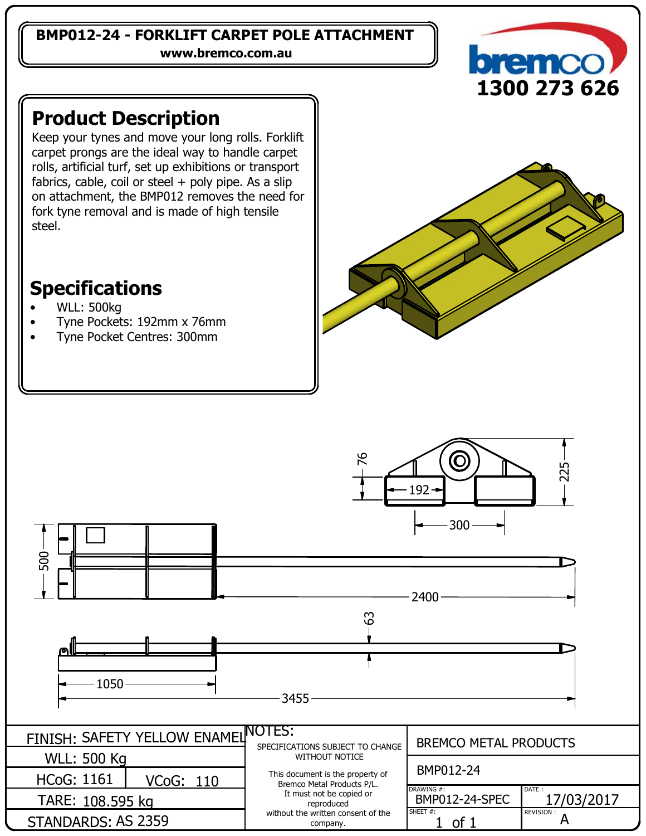### **BMP012-24 - FORKLIFT CARPET POLE ATTACHMENT**

**www.bremco.com.au**



## **Product Description**

Keep your tynes and move your long rolls. Forklift carpet prongs are the ideal way to handle carpet rolls, artificial turf, set up exhibitions or transport fabrics, cable, coil or steel  $+$  poly pipe. As a slip on attachment, the BMP012 removes the need for fork tyne removal and is made of high tensile steel.

## **Specifications**

- WLL: 500kg
- Tyne Pockets: 192mm x 76mm
- Tyne Pocket Centres: 300mm